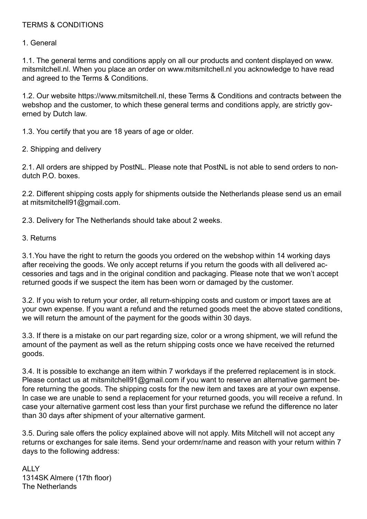## TERMS & CONDITIONS

1. General

1.1. The general terms and conditions apply on all our products and content displayed on www. mitsmitchell.nl. When you place an order on www.mitsmitchell.nl you acknowledge to have read and agreed to the Terms & Conditions.

1.2. Our website https://www.mitsmitchell.nl, these Terms & Conditions and contracts between the webshop and the customer, to which these general terms and conditions apply, are strictly governed by Dutch law.

1.3. You certify that you are 18 years of age or older.

2. Shipping and delivery

2.1. All orders are shipped by PostNL. Please note that PostNL is not able to send orders to nondutch P.O. boxes.

2.2. Different shipping costs apply for shipments outside the Netherlands please send us an email at mitsmitchell91@gmail.com.

2.3. Delivery for The Netherlands should take about 2 weeks.

## 3. Returns

3.1.You have the right to return the goods you ordered on the webshop within 14 working days after receiving the goods. We only accept returns if you return the goods with all delivered accessories and tags and in the original condition and packaging. Please note that we won't accept returned goods if we suspect the item has been worn or damaged by the customer.

3.2. If you wish to return your order, all return-shipping costs and custom or import taxes are at your own expense. If you want a refund and the returned goods meet the above stated conditions, we will return the amount of the payment for the goods within 30 days.

3.3. If there is a mistake on our part regarding size, color or a wrong shipment, we will refund the amount of the payment as well as the return shipping costs once we have received the returned goods.

3.4. It is possible to exchange an item within 7 workdays if the preferred replacement is in stock. Please contact us at mitsmitchell91@gmail.com if you want to reserve an alternative garment before returning the goods. The shipping costs for the new item and taxes are at your own expense. In case we are unable to send a replacement for your returned goods, you will receive a refund. In case your alternative garment cost less than your first purchase we refund the difference no later than 30 days after shipment of your alternative garment.

3.5. During sale offers the policy explained above will not apply. Mits Mitchell will not accept any returns or exchanges for sale items. Send your ordernr/name and reason with your return within 7 days to the following address:

ALLY 1314SK Almere (17th floor) The Netherlands